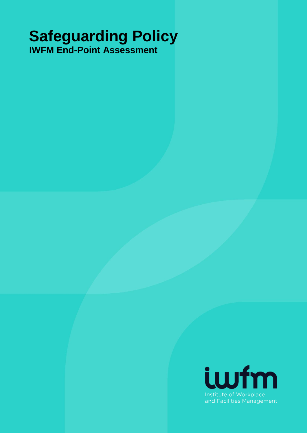# **Safeguarding Policy IWFM End-Point Assessment**

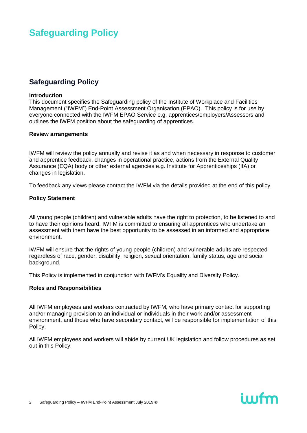### **Safeguarding Policy**

#### **Introduction**

This document specifies the Safeguarding policy of the Institute of Workplace and Facilities Management ("IWFM") End-Point Assessment Organisation (EPAO). This policy is for use by everyone connected with the IWFM EPAO Service e.g. apprentices/employers/Assessors and outlines the IWFM position about the safeguarding of apprentices.

#### **Review arrangements**

IWFM will review the policy annually and revise it as and when necessary in response to customer and apprentice feedback, changes in operational practice, actions from the External Quality Assurance (EQA) body or other external agencies e.g. Institute for Apprenticeships (IfA) or changes in legislation.

To feedback any views please contact the IWFM via the details provided at the end of this policy.

#### **Policy Statement**

All young people (children) and vulnerable adults have the right to protection, to be listened to and to have their opinions heard. IWFM is committed to ensuring all apprentices who undertake an assessment with them have the best opportunity to be assessed in an informed and appropriate environment.

IWFM will ensure that the rights of young people (children) and vulnerable adults are respected regardless of race, gender, disability, religion, sexual orientation, family status, age and social background.

This Policy is implemented in conjunction with IWFM's Equality and Diversity Policy.

#### **Roles and Responsibilities**

All IWFM employees and workers contracted by IWFM, who have primary contact for supporting and/or managing provision to an individual or individuals in their work and/or assessment environment, and those who have secondary contact, will be responsible for implementation of this Policy.

All IWFM employees and workers will abide by current UK legislation and follow procedures as set out in this Policy.

iwfm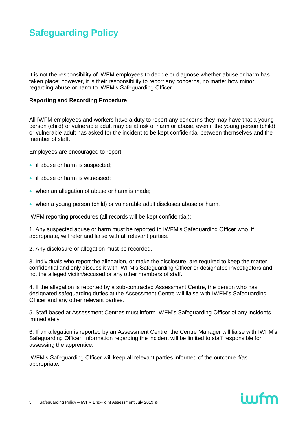It is not the responsibility of IWFM employees to decide or diagnose whether abuse or harm has taken place; however, it is their responsibility to report any concerns, no matter how minor, regarding abuse or harm to IWFM's Safeguarding Officer.

#### **Reporting and Recording Procedure**

All IWFM employees and workers have a duty to report any concerns they may have that a young person (child) or vulnerable adult may be at risk of harm or abuse, even if the young person (child) or vulnerable adult has asked for the incident to be kept confidential between themselves and the member of staff.

Employees are encouraged to report:

- if abuse or harm is suspected;
- if abuse or harm is witnessed;
- when an allegation of abuse or harm is made;
- when a young person (child) or vulnerable adult discloses abuse or harm.

IWFM reporting procedures (all records will be kept confidential):

1. Any suspected abuse or harm must be reported to IWFM's Safeguarding Officer who, if appropriate, will refer and liaise with all relevant parties.

2. Any disclosure or allegation must be recorded.

3. Individuals who report the allegation, or make the disclosure, are required to keep the matter confidential and only discuss it with IWFM's Safeguarding Officer or designated investigators and not the alleged victim/accused or any other members of staff.

4. If the allegation is reported by a sub-contracted Assessment Centre, the person who has designated safeguarding duties at the Assessment Centre will liaise with IWFM's Safeguarding Officer and any other relevant parties.

5. Staff based at Assessment Centres must inform IWFM's Safeguarding Officer of any incidents immediately.

6. If an allegation is reported by an Assessment Centre, the Centre Manager will liaise with IWFM's Safeguarding Officer. Information regarding the incident will be limited to staff responsible for assessing the apprentice.

iwfm

IWFM's Safeguarding Officer will keep all relevant parties informed of the outcome if/as appropriate.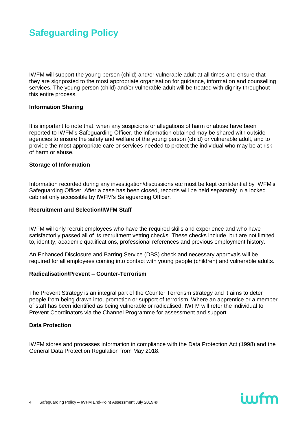IWFM will support the young person (child) and/or vulnerable adult at all times and ensure that they are signposted to the most appropriate organisation for guidance, information and counselling services. The young person (child) and/or vulnerable adult will be treated with dignity throughout this entire process.

#### **Information Sharing**

It is important to note that, when any suspicions or allegations of harm or abuse have been reported to IWFM's Safeguarding Officer, the information obtained may be shared with outside agencies to ensure the safety and welfare of the young person (child) or vulnerable adult, and to provide the most appropriate care or services needed to protect the individual who may be at risk of harm or abuse.

#### **Storage of Information**

Information recorded during any investigation/discussions etc must be kept confidential by IWFM's Safeguarding Officer. After a case has been closed, records will be held separately in a locked cabinet only accessible by IWFM's Safeguarding Officer.

#### **Recruitment and Selection/IWFM Staff**

IWFM will only recruit employees who have the required skills and experience and who have satisfactorily passed all of its recruitment vetting checks. These checks include, but are not limited to, identity, academic qualifications, professional references and previous employment history.

An Enhanced Disclosure and Barring Service (DBS) check and necessary approvals will be required for all employees coming into contact with young people (children) and vulnerable adults.

#### **Radicalisation/Prevent – Counter-Terrorism**

The Prevent Strategy is an integral part of the Counter Terrorism strategy and it aims to deter people from being drawn into, promotion or support of terrorism. Where an apprentice or a member of staff has been identified as being vulnerable or radicalised, IWFM will refer the individual to Prevent Coordinators via the Channel Programme for assessment and support.

#### **Data Protection**

IWFM stores and processes information in compliance with the Data Protection Act (1998) and the General Data Protection Regulation from May 2018.

iwfm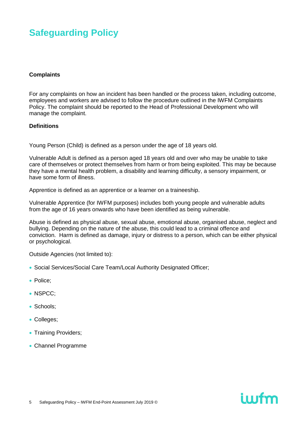#### **Complaints**

For any complaints on how an incident has been handled or the process taken, including outcome, employees and workers are advised to follow the procedure outlined in the IWFM Complaints Policy. The complaint should be reported to the Head of Professional Development who will manage the complaint.

#### **Definitions**

Young Person (Child) is defined as a person under the age of 18 years old.

Vulnerable Adult is defined as a person aged 18 years old and over who may be unable to take care of themselves or protect themselves from harm or from being exploited. This may be because they have a mental health problem, a disability and learning difficulty, a sensory impairment, or have some form of illness.

Apprentice is defined as an apprentice or a learner on a traineeship.

Vulnerable Apprentice (for IWFM purposes) includes both young people and vulnerable adults from the age of 16 years onwards who have been identified as being vulnerable.

Abuse is defined as physical abuse, sexual abuse, emotional abuse, organised abuse, neglect and bullying. Depending on the nature of the abuse, this could lead to a criminal offence and conviction. Harm is defined as damage, injury or distress to a person, which can be either physical or psychological.

Outside Agencies (not limited to):

- Social Services/Social Care Team/Local Authority Designated Officer;
- Police:
- NSPCC;
- Schools;
- Colleges;
- Training Providers;
- Channel Programme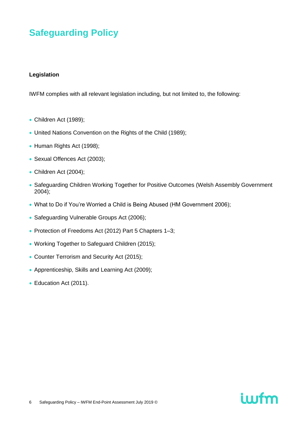#### **Legislation**

IWFM complies with all relevant legislation including, but not limited to, the following:

- Children Act (1989);
- United Nations Convention on the Rights of the Child (1989);
- Human Rights Act (1998);
- Sexual Offences Act (2003);
- Children Act (2004);
- Safeguarding Children Working Together for Positive Outcomes (Welsh Assembly Government 2004);
- What to Do if You're Worried a Child is Being Abused (HM Government 2006);
- Safeguarding Vulnerable Groups Act (2006);
- Protection of Freedoms Act (2012) Part 5 Chapters 1–3;
- Working Together to Safeguard Children (2015);
- Counter Terrorism and Security Act (2015);
- Apprenticeship, Skills and Learning Act (2009);
- Education Act (2011).

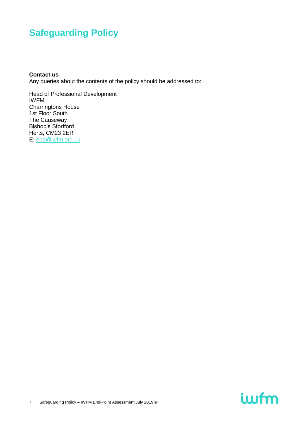#### **Contact us**

Any queries about the contents of the policy should be addressed to:

Head of Professional Development IWFM Charringtons House 1st Floor South The Causeway Bishop's Stortford Herts, CM23 2ER E: [epa@iwfm.org.uk](mailto:epa@iwfm.org.uk)